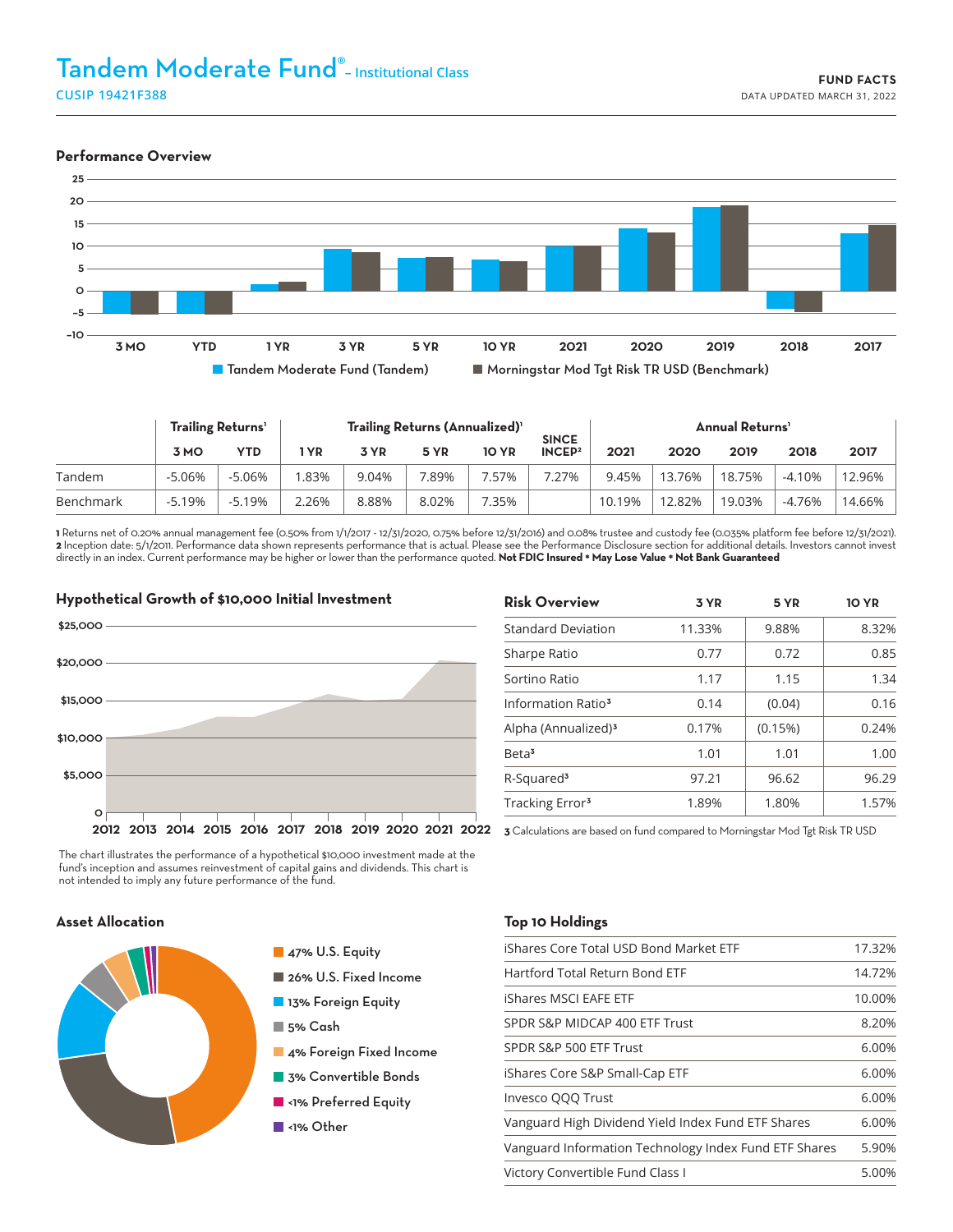#### **Performance Overview**



|           | <b>Trailing Returns'</b> |          | Trailing Returns (Annualized) <sup>1</sup> |       |       |              |                                    | <b>Annual Returns'</b> |        |        |          |        |
|-----------|--------------------------|----------|--------------------------------------------|-------|-------|--------------|------------------------------------|------------------------|--------|--------|----------|--------|
|           | <b>3 MO</b>              | YTD      | 'YR                                        | 3 YR  | 5 YR  | <b>10 YR</b> | <b>SINCE</b><br>INCEP <sup>2</sup> | 2021                   | 2020   | 2019   | 2018     | 2017   |
| Tandem    | $-5.06%$                 | $-5.06%$ | .83%                                       | 9.04% | .89%  | .57%         | 7.27%                              | 9.45%                  | 13.76% | 18.75% | $-4.10%$ | 12.96% |
| Benchmark | $-5.19%$                 | $-5.19%$ | ?.26%                                      | 8.88% | 8.02% | .35%         |                                    | 10.19%                 | 12.82% | 19.03% | $-4.76%$ | 14.66% |

**1** Returns net of 0.20% annual management fee (0.50% from 1/1/2017 - 12/31/2020, 0.75% before 12/31/2016) and 0.08% trustee and custody fee (0.035% platform fee before 12/31/2021). **2** Inception date: 5/1/2011. Performance data shown represents performance that is actual. Please see the Performance Disclosure section for additional details. Investors cannot invest directly in an index. Current performance may be higher or lower than the performance quoted. **Not FDIC Insured \* May Lose Value \* Not Bank Guaranteed**



| <b>Risk Overview</b>            | 3 YR   | 5 YR    | <b>10 YR</b> |  |
|---------------------------------|--------|---------|--------------|--|
| <b>Standard Deviation</b>       | 11.33% | 9.88%   | 8.32%        |  |
| Sharpe Ratio                    | 0.77   | 0.72    | 0.85         |  |
| Sortino Ratio                   | 1.17   | 1.15    | 1.34         |  |
| Information Ratio <sup>3</sup>  | 0.14   | (0.04)  | 0.16         |  |
| Alpha (Annualized) <sup>3</sup> | 0.17%  | (0.15%) | 0.24%        |  |
| Beta <sup>3</sup>               | 1.01   | 1.01    | 1.00         |  |
| R-Squared <sup>3</sup>          | 97.21  | 96.62   | 96.29        |  |
| Tracking Error <sup>3</sup>     | 1.89%  | 1.80%   | 1.57%        |  |

The chart illustrates the performance of a hypothetical \$10,000 investment made at the fund's inception and assumes reinvestment of capital gains and dividends. This chart is not intended to imply any future performance of the fund.



- 47% U.S. Equity
- 26% U.S. Fixed Income
- 13% Foreign Equity
- 5% Cash
- 4% Foreign Fixed Income
- **3% Convertible Bonds**
- **N**<1% Preferred Equity
- ■<1% Other

## **Asset Allocation Top 10 Holdings**

| iShares Core Total USD Bond Market ETF                | 17.32% |
|-------------------------------------------------------|--------|
| Hartford Total Return Bond ETF                        | 14.72% |
| iShares MSCI EAFE ETF                                 | 10.00% |
| SPDR S&P MIDCAP 400 ETF Trust                         | 8.20%  |
| SPDR S&P 500 ETF Trust                                | 6.00%  |
| iShares Core S&P Small-Cap ETF                        | 6.00%  |
| Invesco QQQ Trust                                     | 6.00%  |
| Vanguard High Dividend Yield Index Fund ETF Shares    | 6.00%  |
| Vanguard Information Technology Index Fund ETF Shares | 5.90%  |
| Victory Convertible Fund Class I                      | 5.00%  |